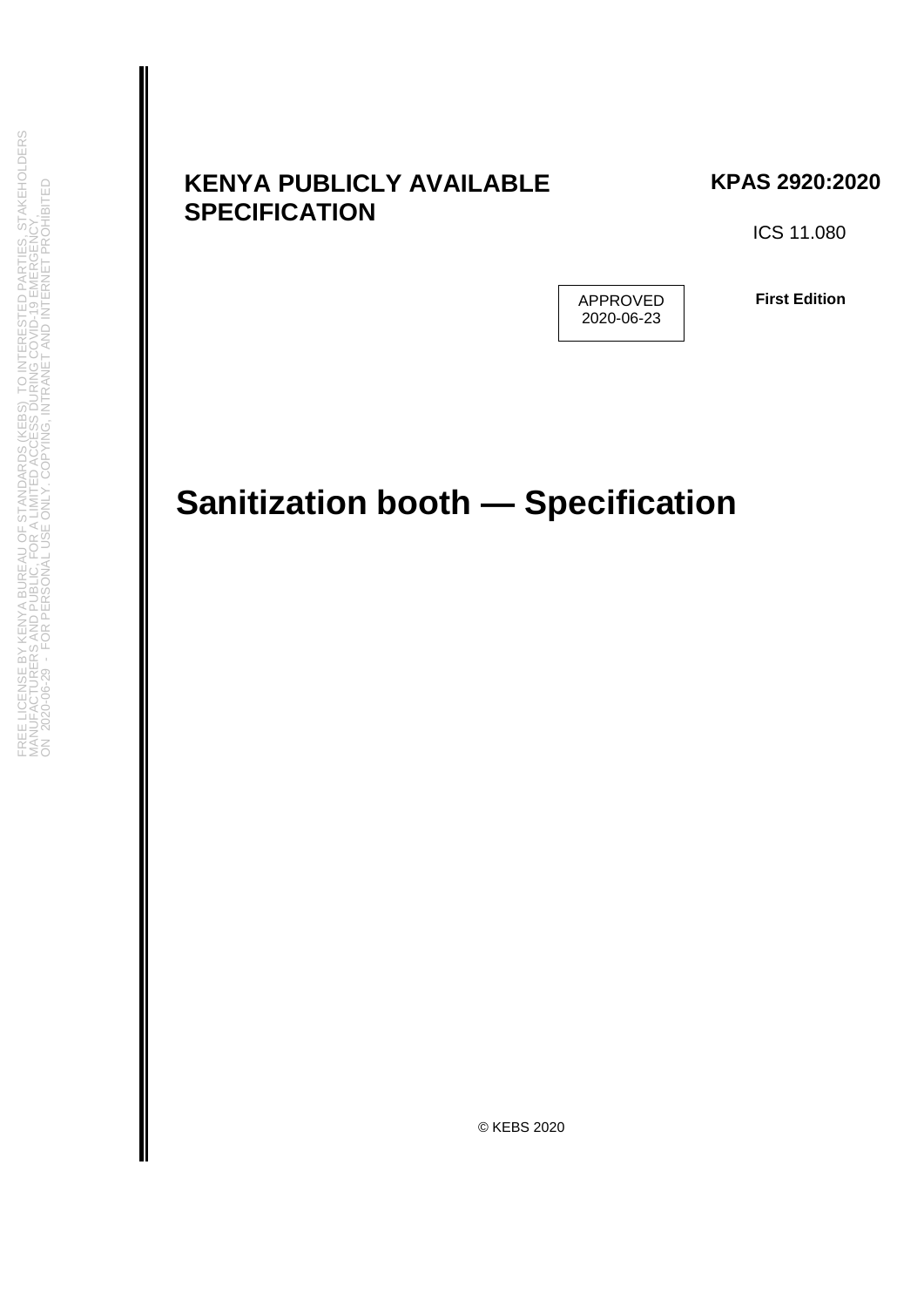# **KENYA PUBLICLY AVAILABLE SPECIFICATION**

**KPAS 2920:2020**

ICS 11.080

APPROVED 2020-06-23

**First Edition**

# **Sanitization booth — Specification**

© KEBS 2020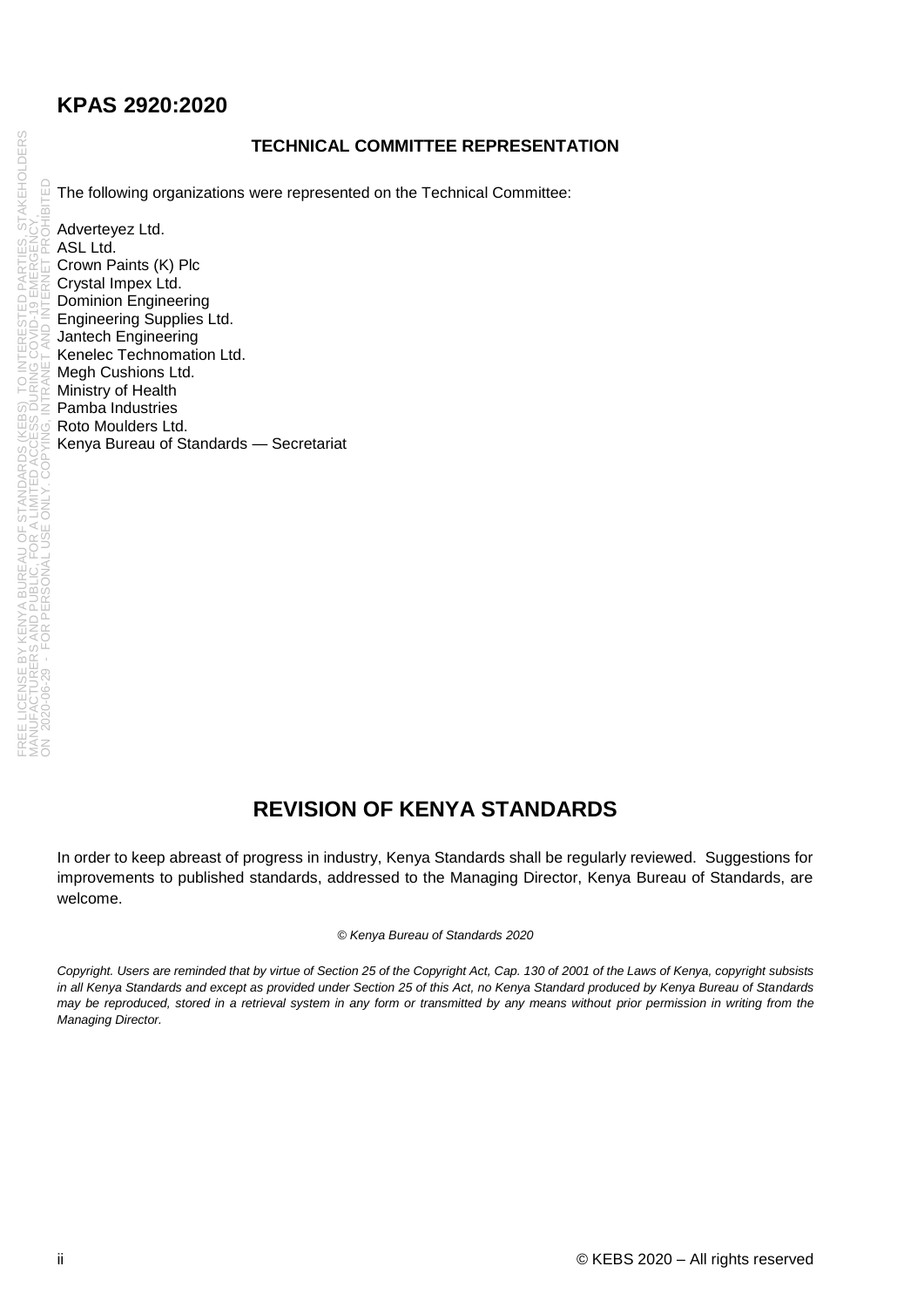#### **TECHNICAL COMMITTEE REPRESENTATION**

The following organizations were represented on the Technical Committee:

Adverteyez Ltd. ASL Ltd. Crown Paints (K) Plc Crystal Impex Ltd. Dominion Engineering Engineering Supplies Ltd. Jantech Engineering Kenelec Technomation Ltd. Megh Cushions Ltd. Ministry of Health Pamba Industries Roto Moulders Ltd. Kenya Bureau of Standards — Secretariat

# **REVISION OF KENYA STANDARDS**

In order to keep abreast of progress in industry, Kenya Standards shall be regularly reviewed. Suggestions for improvements to published standards, addressed to the Managing Director, Kenya Bureau of Standards, are welcome.

#### *© Kenya Bureau of Standards 2020*

*Copyright. Users are reminded that by virtue of Section 25 of the Copyright Act, Cap. 130 of 2001 of the Laws of Kenya, copyright subsists in all Kenya Standards and except as provided under Section 25 of this Act, no Kenya Standard produced by Kenya Bureau of Standards may be reproduced, stored in a retrieval system in any form or transmitted by any means without prior permission in writing from the Managing Director.*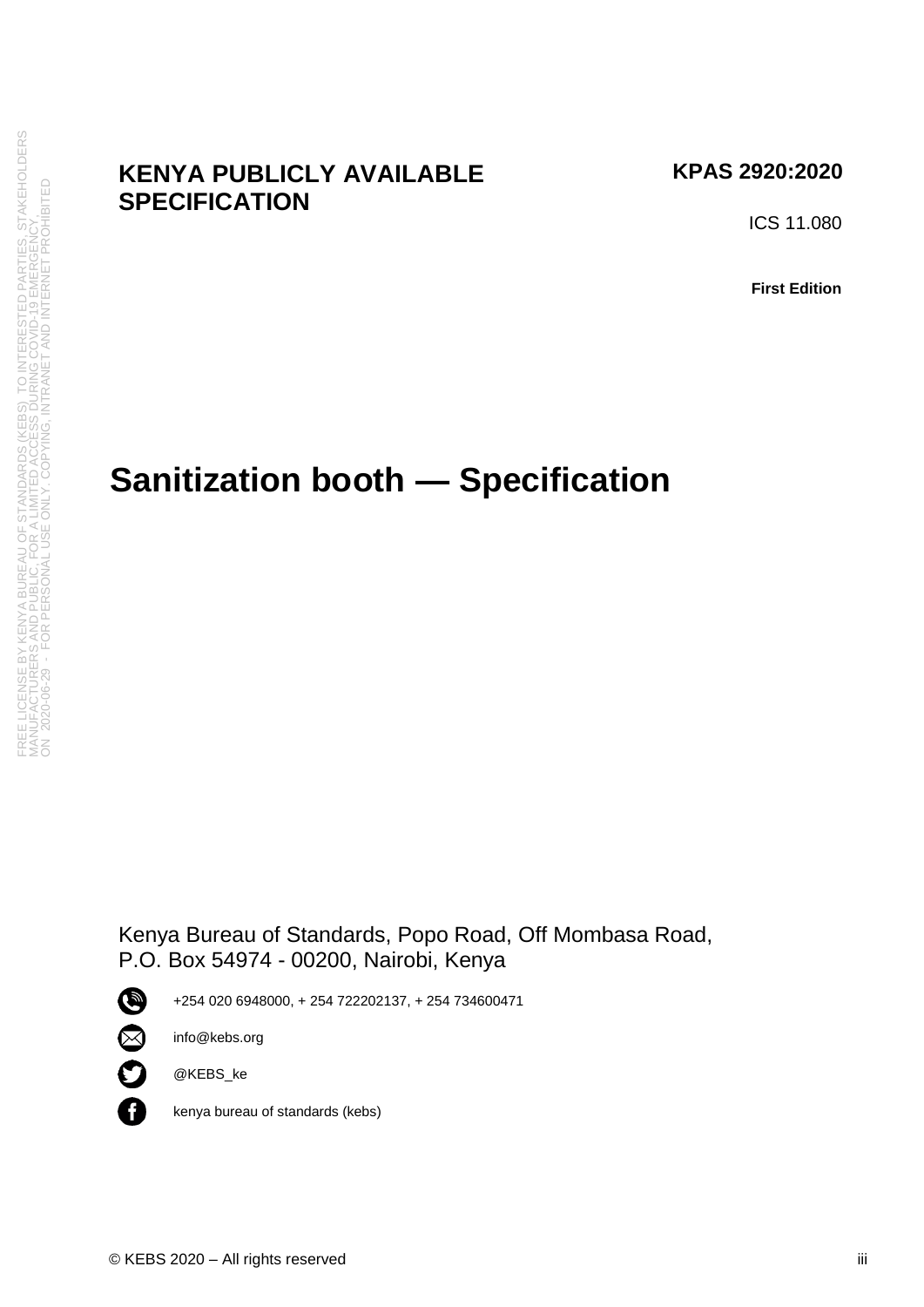## **KENYA PUBLICLY AVAILABLE SPECIFICATION**

### **KPAS 2920:2020**

ICS 11.080

**First Edition**

# **Sanitization booth — Specification**

Kenya Bureau of Standards, Popo Road, Off Mombasa Road, P.O. Box 54974 - 00200, Nairobi, Kenya



+254 020 6948000, + 254 722202137, + 254 734600471



n

@KEBS\_ke

info@kebs.org

kenya bureau of standards (kebs)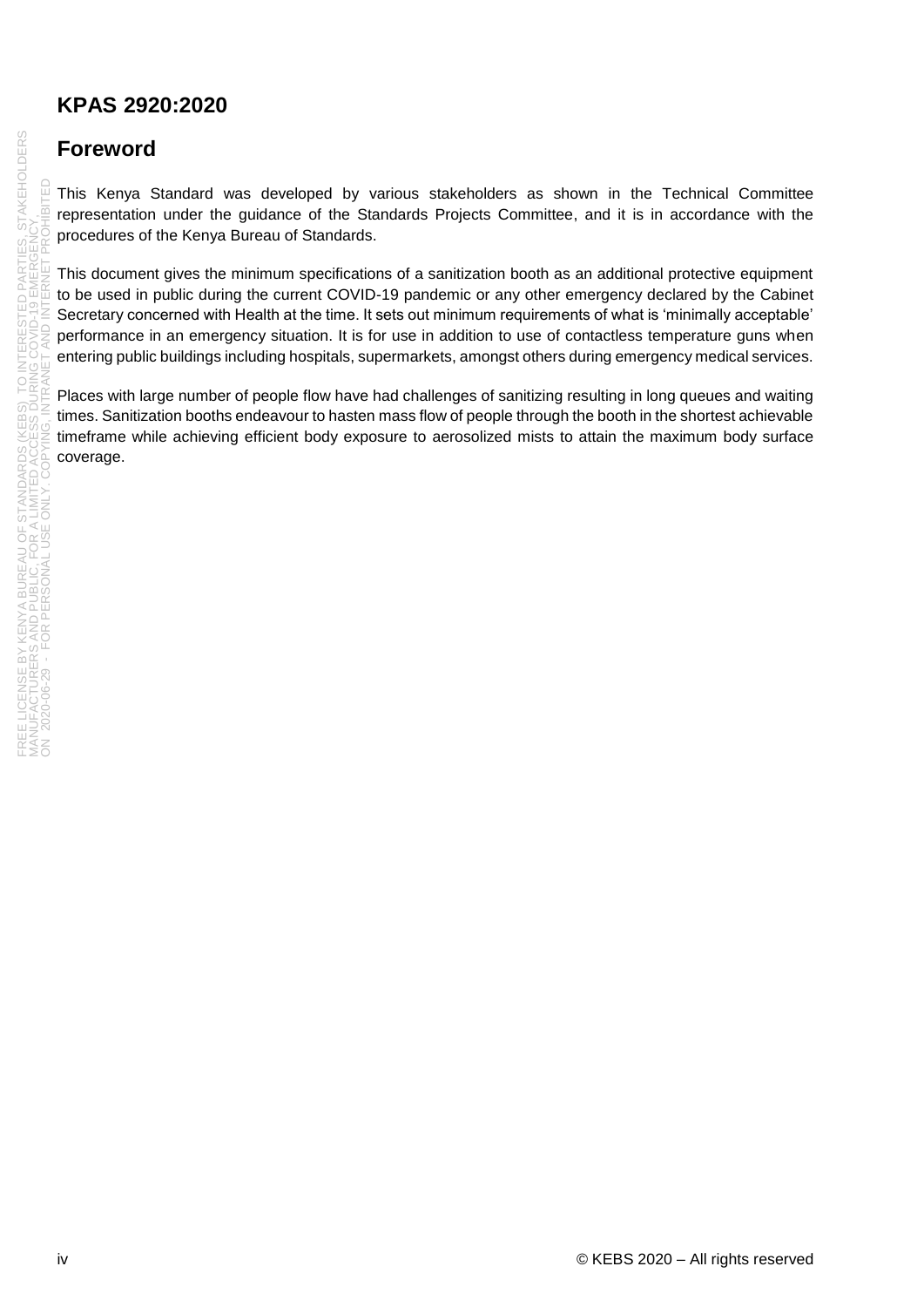# **Foreword**

This Kenya Standard was developed by various stakeholders as shown in the Technical Committee representation under the guidance of the Standards Projects Committee, and it is in accordance with the procedures of the Kenya Bureau of Standards.

This document gives the minimum specifications of a sanitization booth as an additional protective equipment to be used in public during the current COVID-19 pandemic or any other emergency declared by the Cabinet Secretary concerned with Health at the time. It sets out minimum requirements of what is 'minimally acceptable' performance in an emergency situation. It is for use in addition to use of contactless temperature guns when entering public buildings including hospitals, supermarkets, amongst others during emergency medical services.

Places with large number of people flow have had challenges of sanitizing resulting in long queues and waiting times. Sanitization booths endeavour to hasten mass flow of people through the booth in the shortest achievable timeframe while achieving efficient body exposure to aerosolized mists to attain the maximum body surface coverage.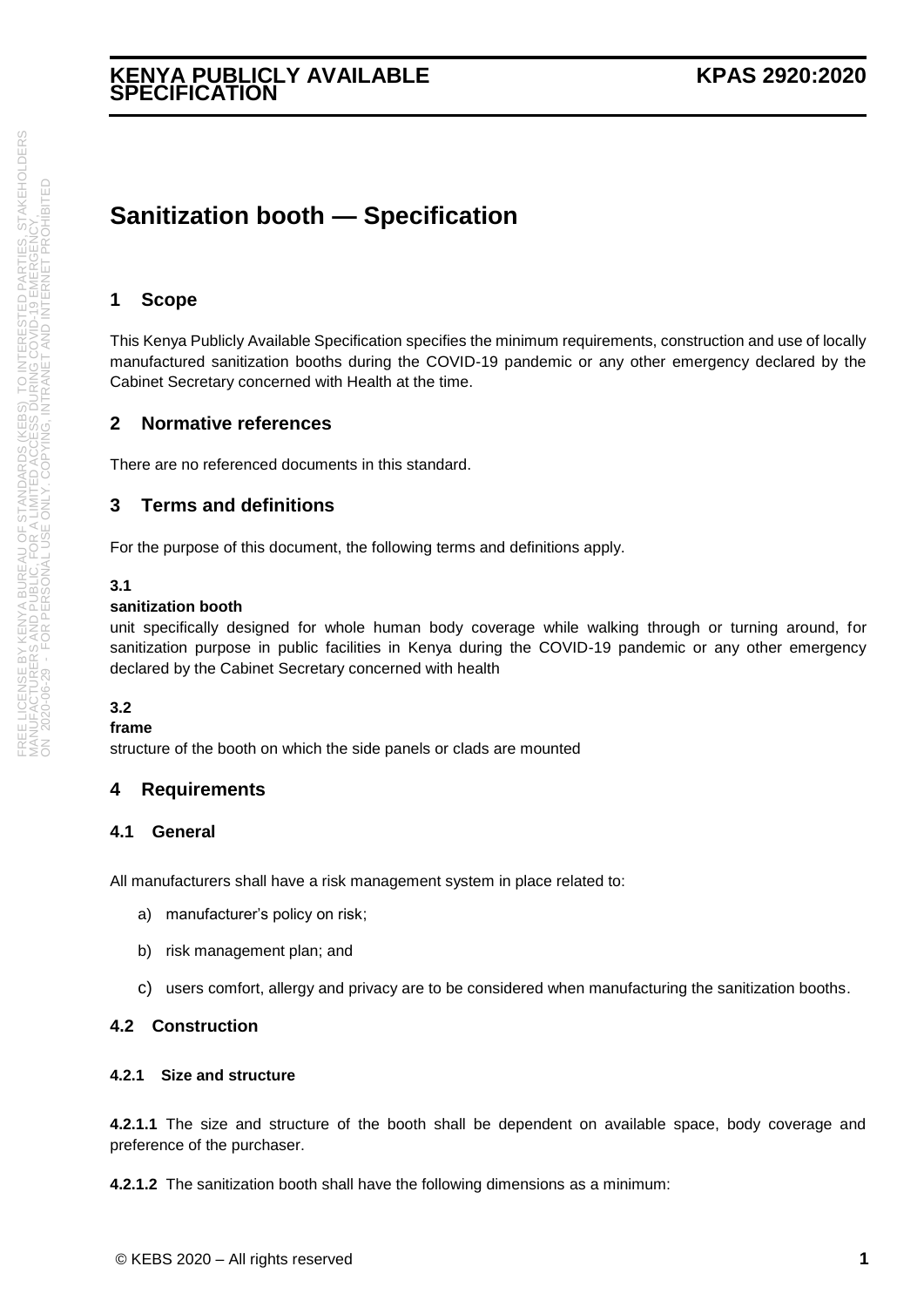#### **KENYA PUBLICLY AVAILABLE SPECIFICATION**

# **Sanitization booth — Specification**

#### **1 Scope**

This Kenya Publicly Available Specification specifies the minimum requirements, construction and use of locally manufactured sanitization booths during the COVID-19 pandemic or any other emergency declared by the Cabinet Secretary concerned with Health at the time.

#### **2 Normative references**

There are no referenced documents in this standard.

#### **3 Terms and definitions**

For the purpose of this document, the following terms and definitions apply.

#### **3.1**

#### **sanitization booth**

unit specifically designed for whole human body coverage while walking through or turning around, for sanitization purpose in public facilities in Kenya during the COVID-19 pandemic or any other emergency declared by the Cabinet Secretary concerned with health

#### **3.2**

#### **frame**

structure of the booth on which the side panels or clads are mounted

#### **4 Requirements**

#### **4.1 General**

All manufacturers shall have a risk management system in place related to:

- a) manufacturer's policy on risk;
- b) risk management plan; and
- c) users comfort, allergy and privacy are to be considered when manufacturing the sanitization booths.

#### **4.2 Construction**

#### **4.2.1 Size and structure**

**4.2.1.1** The size and structure of the booth shall be dependent on available space, body coverage and preference of the purchaser.

**4.2.1.2** The sanitization booth shall have the following dimensions as a minimum: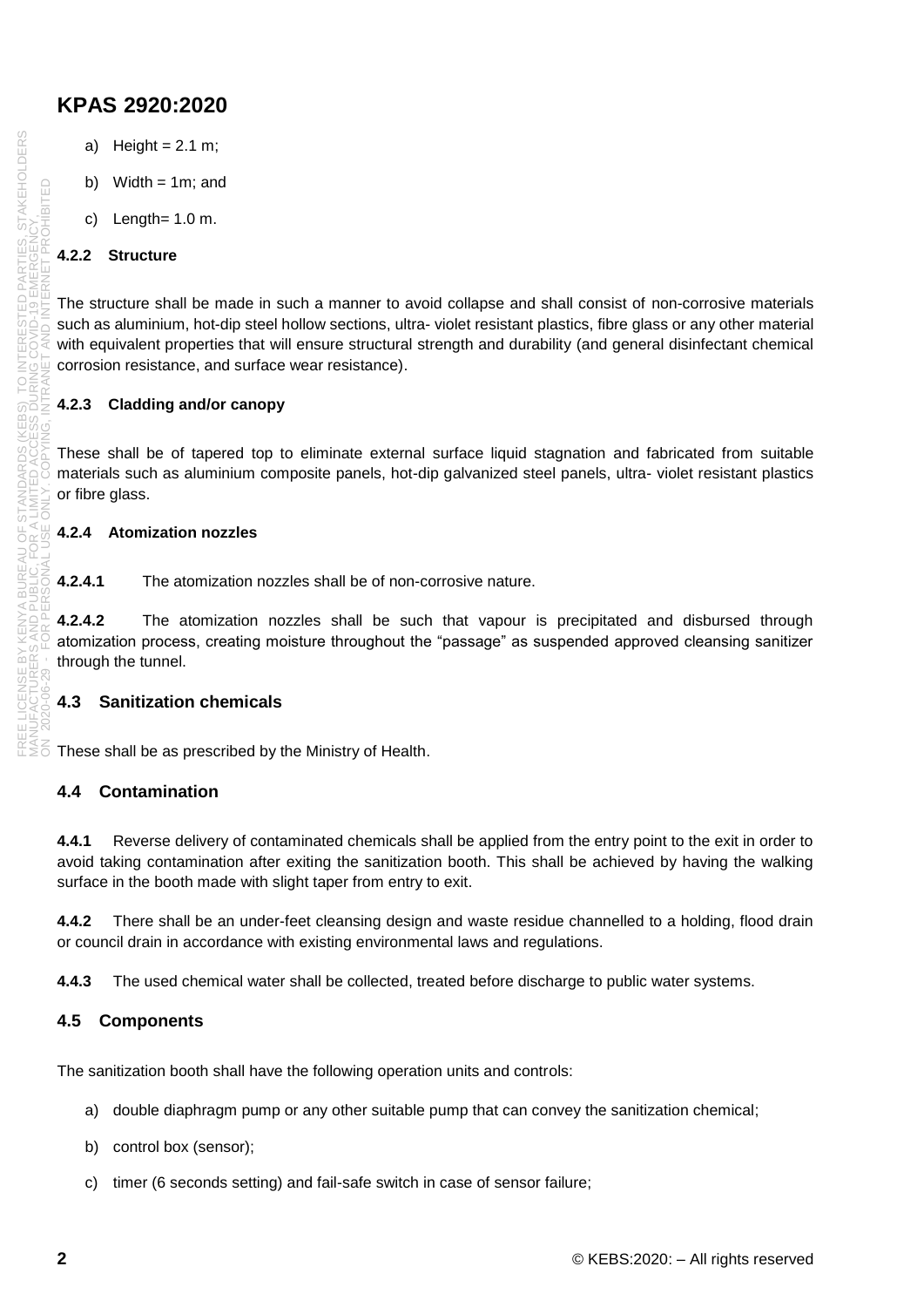- a) Height =  $2.1 \text{ m}$ ;
- b) Width  $= 1$ m; and
- c) Length= 1.0 m.

#### **4.2.2 Structure**

The structure shall be made in such a manner to avoid collapse and shall consist of non-corrosive materials such as aluminium, hot-dip steel hollow sections, ultra- violet resistant plastics, fibre glass or any other material with equivalent properties that will ensure structural strength and durability (and general disinfectant chemical corrosion resistance, and surface wear resistance).

#### **4.2.3 Cladding and/or canopy**

These shall be of tapered top to eliminate external surface liquid stagnation and fabricated from suitable materials such as aluminium composite panels, hot-dip galvanized steel panels, ultra- violet resistant plastics or fibre glass.

#### **4.2.4 Atomization nozzles**

**4.2.4.1** The atomization nozzles shall be of non-corrosive nature.

**4.2.4.2** The atomization nozzles shall be such that vapour is precipitated and disbursed through atomization process, creating moisture throughout the "passage" as suspended approved cleansing sanitizer through the tunnel.

#### **4.3 Sanitization chemicals**

These shall be as prescribed by the Ministry of Health.

#### **4.4 Contamination**

**4.4.1** Reverse delivery of contaminated chemicals shall be applied from the entry point to the exit in order to avoid taking contamination after exiting the sanitization booth. This shall be achieved by having the walking surface in the booth made with slight taper from entry to exit.

**4.4.2** There shall be an under-feet cleansing design and waste residue channelled to a holding, flood drain or council drain in accordance with existing environmental laws and regulations.

**4.4.3** The used chemical water shall be collected, treated before discharge to public water systems.

#### **4.5 Components**

The sanitization booth shall have the following operation units and controls:

- a) double diaphragm pump or any other suitable pump that can convey the sanitization chemical;
- b) control box (sensor);
- c) timer (6 seconds setting) and fail-safe switch in case of sensor failure;